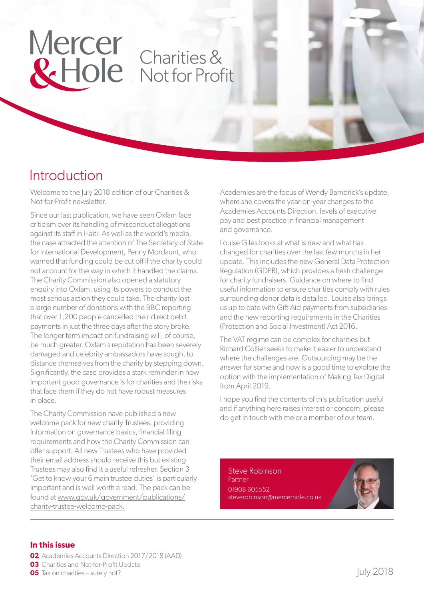# Mercer | Charities &

### Introduction

Welcome to the July 2018 edition of our Charities & Not-for-Profit newsletter.

Since our last publication, we have seen Oxfam face criticism over its handling of misconduct allegations against its staff in Haiti. As well as the world's media, the case attracted the attention of The Secretary of State for International Development, Penny Mordaunt, who warned that funding could be cut off if the charity could not account for the way in which it handled the claims. The Charity Commission also opened a statutory enquiry into Oxfam, using its powers to conduct the most serious action they could take. The charity lost a large number of donations with the BBC reporting that over 1,200 people cancelled their direct debit payments in just the three days after the story broke. The longer term impact on fundraising will, of course, be much greater. Oxfam's reputation has been severely damaged and celebrity ambassadors have sought to distance themselves from the charity by stepping down. Significantly, the case provides a stark reminder in how important good governance is for charities and the risks that face them if they do not have robust measures in place.

The Charity Commission have published a new welcome pack for new charity Trustees, providing information on governance basics, financial filing requirements and how the Charity Commission can offer support. All new Trustees who have provided their email address should receive this but existing Trustees may also find it a useful refresher. Section 3 'Get to know your 6 main trustee duties' is particularly important and is well worth a read. The pack can be found at www.gov.uk/government/publications/ charity-trustee-welcome-pack.

Academies are the focus of Wendy Bambrick's update, where she covers the year-on-year changes to the Academies Accounts Direction, levels of executive pay and best practice in financial management and governance.

Louise Giles looks at what is new and what has changed for charities over the last few months in her update. This includes the new General Data Protection Regulation (GDPR), which provides a fresh challenge for charity fundraisers. Guidance on where to find useful information to ensure charities comply with rules surrounding donor data is detailed. Louise also brings us up to date with Gift Aid payments from subsidiaries and the new reporting requirements in the Charities (Protection and Social Investment) Act 2016.

The VAT regime can be complex for charities but Richard Collier seeks to make it easier to understand where the challenges are. Outsourcing may be the answer for some and now is a good time to explore the option with the implementation of Making Tax Digital from April 2019.

I hope you find the contents of this publication useful and if anything here raises interest or concern, please do get in touch with me or a member of our team.

Steve Robinson Partner 01908 605552 steverobinson@mercerhole.co.uk

#### **In this issue**

- **02** Academies Accounts Direction 2017/2018 (AAD)
- **03** Charities and Not-for-Profit Update
- **05** Tax on charities surely not?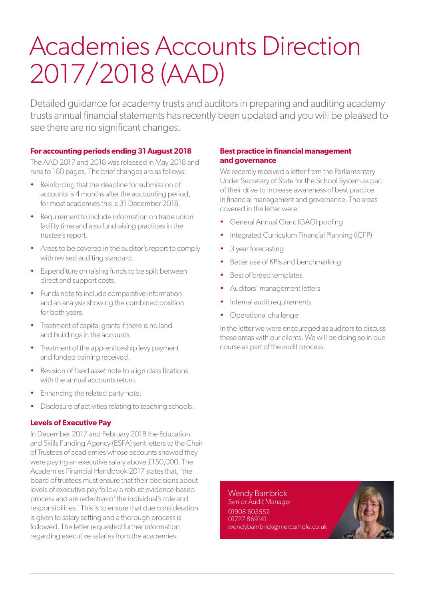# Academies Accounts Direction 2017/2018 (AAD)

Detailed guidance for academy trusts and auditors in preparing and auditing academy trusts annual financial statements has recently been updated and you will be pleased to see there are no significant changes.

#### **For accounting periods ending 31 August 2018**

The AAD 2017 and 2018 was released in May 2018 and runs to 160 pages. The brief changes are as follows:

- Reinforcing that the deadline for submission of accounts is 4 months after the accounting period, for most academies this is 31 December 2018.
- Requirement to include information on trade union facility time and also fundraising practices in the trustee's report.
- Areas to be covered in the auditor's report to comply with revised auditing standard.
- Expenditure on raising funds to be split between direct and support costs.
- Funds note to include comparative information and an analysis showing the combined position for both years.
- Treatment of capital grants if there is no land and buildings in the accounts.
- Treatment of the apprenticeship levy payment and funded training received.
- Revision of fixed asset note to align classifications with the annual accounts return.
- Enhancing the related party note.
- Disclosure of activities relating to teaching schools.

#### **Levels of Executive Pay**

In December 2017 and February 2018 the Education and Skills Funding Agency (ESFA) sent letters to the Chair of Trustees of acad emies whose accounts showed they were paying an executive salary above £150,000. The Academies Financial Handbook 2017 states that, 'the board of trustees must ensure that their decisions about levels of executive pay follow a robust evidence-based process and are reflective of the individual's role and responsibilities.' This is to ensure that due consideration is given to salary setting and a thorough process is followed. The letter requested further information regarding executive salaries from the academies.

#### **Best practice in financial management and governance**

We recently received a letter from the Parliamentary Under Secretary of State for the School System as part of their drive to increase awareness of best practice in financial management and governance. The areas covered in the letter were:

- General Annual Grant (GAG) pooling
- Integrated Curriculum Financial Planning (ICFP)
- 3 year forecasting
- Better use of KPIs and benchmarking
- Best of breed templates
- Auditors' management letters
- Internal audit requirements
- Operational challenge

In the letter we were encouraged as auditors to discuss these areas with our clients. We will be doing so in due course as part of the audit process.

Wendy Bambrick Senior Audit Manager 01908 605552 01727 869141 wendybambrick@mercerhole.co.uk

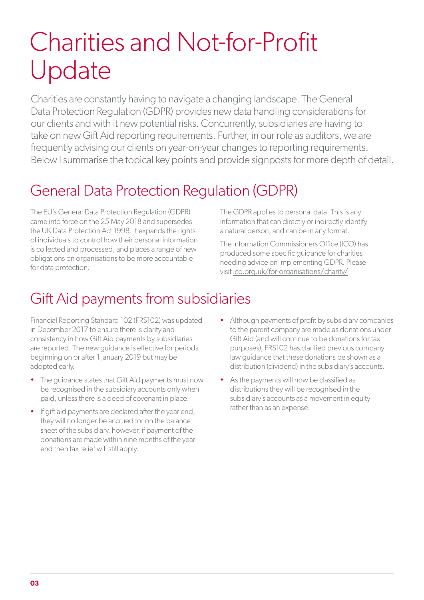# Charities and Not-for-Profit Update

Charities are constantly having to navigate a changing landscape. The General Data Protection Regulation (GDPR) provides new data handling considerations for our clients and with it new potential risks. Concurrently, subsidiaries are having to take on new Gift Aid reporting requirements. Further, in our role as auditors, we are frequently advising our clients on year-on-year changes to reporting requirements. Below I summarise the topical key points and provide signposts for more depth of detail.

### General Data Protection Regulation (GDPR)

The EU's General Data Protection Regulation (GDPR) came into force on the 25 May 2018 and supersedes the UK Data Protection Act 1998. It expands the rights of individuals to control how their personal information is collected and processed, and places a range of new obligations on organisations to be more accountable for data protection.

The GDPR applies to personal data. This is any information that can directly or indirectly identify a natural person, and can be in any format.

The Information Commissioners Office (ICO) has produced some specific guidance for charities needing advice on implementing GDPR. Please visit ico.org.uk/for-organisations/charity/

## Gift Aid payments from subsidiaries

Financial Reporting Standard 102 (FRS102) was updated in December 2017 to ensure there is clarity and consistency in how Gift Aid payments by subsidiaries are reported. The new guidance is effective for periods beginning on or after 1 January 2019 but may be adopted early.

- The guidance states that Gift Aid payments must now be recognised in the subsidiary accounts only when paid, unless there is a deed of covenant in place.
- If gift aid payments are declared after the year end, they will no longer be accrued for on the balance sheet of the subsidiary, however, if payment of the donations are made within nine months of the year end then tax relief will still apply.
- Although payments of profit by subsidiary companies to the parent company are made as donations under Gift Aid (and will continue to be donations for tax purposes), FRS102 has clarified previous company law guidance that these donations be shown as a distribution (dividend) in the subsidiary's accounts.
- As the payments will now be classified as distributions they will be recognised in the subsidiary's accounts as a movement in equity rather than as an expense.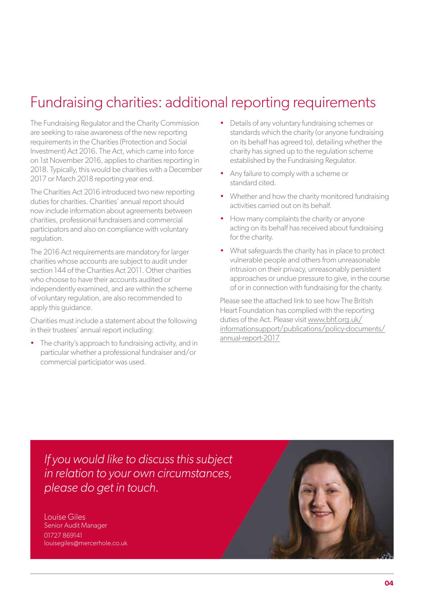### Fundraising charities: additional reporting requirements

The Fundraising Regulator and the Charity Commission are seeking to raise awareness of the new reporting requirements in the Charities (Protection and Social Investment) Act 2016. The Act, which came into force on 1st November 2016, applies to charities reporting in 2018. Typically, this would be charities with a December 2017 or March 2018 reporting year end.

The Charities Act 2016 introduced two new reporting duties for charities. Charities' annual report should now include information about agreements between charities, professional fundraisers and commercial participators and also on compliance with voluntary regulation.

The 2016 Act requirements are mandatory for larger charities whose accounts are subject to audit under section 144 of the Charities Act 2011. Other charities who choose to have their accounts audited or independently examined, and are within the scheme of voluntary regulation, are also recommended to apply this guidance.

Charities must include a statement about the following in their trustees' annual report including:

The charity's approach to fundraising activity, and in particular whether a professional fundraiser and/or commercial participator was used.

- Details of any voluntary fundraising schemes or standards which the charity (or anyone fundraising on its behalf has agreed to), detailing whether the charity has signed up to the regulation scheme established by the Fundraising Regulator.
- Any failure to comply with a scheme or standard cited.
- Whether and how the charity monitored fundraising activities carried out on its behalf.
- How many complaints the charity or anyone acting on its behalf has received about fundraising for the charity.
- What safeguards the charity has in place to protect vulnerable people and others from unreasonable intrusion on their privacy, unreasonably persistent approaches or undue pressure to give, in the course of or in connection with fundraising for the charity.

Please see the attached link to see how The British Heart Foundation has complied with the reporting duties of the Act. Please visit www.bhf.org.uk/ informationsupport/publications/policy-documents/ annual-report-2017

*If you would like to discuss this subject in relation to your own circumstances, please do get in touch.*

Louise Giles Senior Audit Manager 01727 869141 louisegiles@mercerhole.co.uk

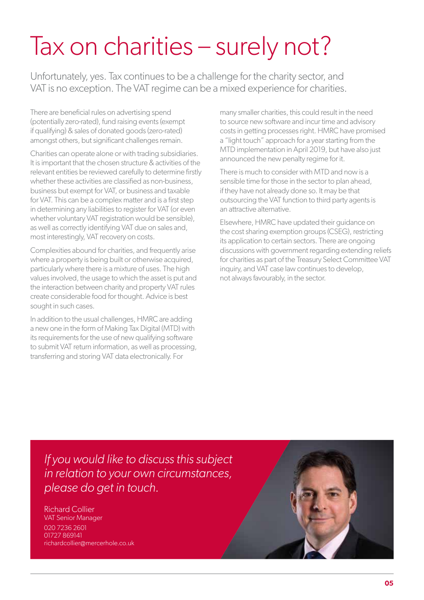# Tax on charities – surely not?

Unfortunately, yes. Tax continues to be a challenge for the charity sector, and VAT is no exception. The VAT regime can be a mixed experience for charities.

There are beneficial rules on advertising spend (potentially zero-rated), fund raising events (exempt if qualifying) & sales of donated goods (zero-rated) amongst others, but significant challenges remain.

Charities can operate alone or with trading subsidiaries. It is important that the chosen structure & activities of the relevant entities be reviewed carefully to determine firstly whether these activities are classified as non-business, business but exempt for VAT, or business and taxable for VAT. This can be a complex matter and is a first step in determining any liabilities to register for VAT (or even whether voluntary VAT registration would be sensible), as well as correctly identifying VAT due on sales and, most interestingly, VAT recovery on costs.

Complexities abound for charities, and frequently arise where a property is being built or otherwise acquired, particularly where there is a mixture of uses. The high values involved, the usage to which the asset is put and the interaction between charity and property VAT rules create considerable food for thought. Advice is best sought in such cases.

In addition to the usual challenges, HMRC are adding a new one in the form of Making Tax Digital (MTD) with its requirements for the use of new qualifying software to submit VAT return information, as well as processing, transferring and storing VAT data electronically. For

many smaller charities, this could result in the need to source new software and incur time and advisory costs in getting processes right. HMRC have promised a "light touch" approach for a year starting from the MTD implementation in April 2019, but have also just announced the new penalty regime for it.

There is much to consider with MTD and now is a sensible time for those in the sector to plan ahead, if they have not already done so. It may be that outsourcing the VAT function to third party agents is an attractive alternative.

Elsewhere, HMRC have updated their guidance on the cost sharing exemption groups (CSEG), restricting its application to certain sectors. There are ongoing discussions with government regarding extending reliefs for charities as part of the Treasury Select Committee VAT inquiry, and VAT case law continues to develop, not always favourably, in the sector.

*If you would like to discuss this subject in relation to your own circumstances, please do get in touch.*

Richard Collier VAT Senior Manager 020 7236 2601 01727 869141 richardcollier@mercerhole.co.uk